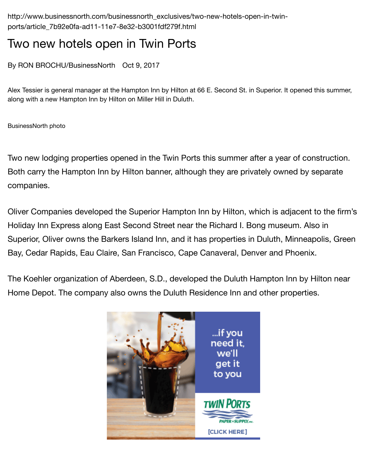Alex Tessier is general manager at the Hampton Inn by Hilton at 66 E. Second St. in Superior. It opened along with a new Hampton Inn by Hilton on Miller Hill in Duluth.

BusinessNorth photo

Two new lodging properties opened in the Twin Ports this summer after a year of co Both carry the Hampton Inn by Hilton banner, although they are privately owned by companies.

Oliver Companies developed the Superior Hampton Inn by Hilton, which is adjacent Holiday Inn Express along East Second Street near the Richard I. Bong museum. Als Superior, Oliver owns the Barkers Island Inn, and it has properties in Duluth, Minnea Bay, Cedar Rapids, Eau Claire, San Francisco, Cape Canaveral, Denver and Phoeni:

The Koehler organization of Aberdeen, S.D., developed the Duluth Hampton Inn by I Home Depot. The company also owns the Duluth Residence Inn and other propertie

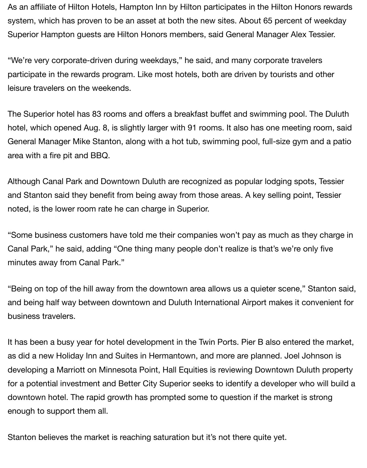As an affiliate of Hilton Hotels, Hampton Inn by Hilton participates in the Hilton Honors rewards system, which has proven to be an asset at both the new sites. About 65 percent of weekday Superior Hampton guests are Hilton Honors members, said General Manager Alex Tessier.

"We're very corporate-driven during weekdays," he said, and many corporate travelers participate in the rewards program. Like most hotels, both are driven by tourists and other leisure travelers on the weekends.

The Superior hotel has 83 rooms and offers a breakfast buffet and swimming pool. The Duluth hotel, which opened Aug. 8, is slightly larger with 91 rooms. It also has one meeting room, said General Manager Mike Stanton, along with a hot tub, swimming pool, full-size gym and a patio area with a fire pit and BBQ.

Although Canal Park and Downtown Duluth are recognized as popular lodging spots, Tessier and Stanton said they benefit from being away from those areas. A key selling point, Tessier noted, is the lower room rate he can charge in Superior.

"Some business customers have told me their companies won't pay as much as they charge in Canal Park," he said, adding "One thing many people don't realize is that's we're only five minutes away from Canal Park."

"Being on top of the hill away from the downtown area allows us a quieter scene," Stanton said, and being half way between downtown and Duluth International Airport makes it convenient for business travelers.

It has been a busy year for hotel development in the Twin Ports. Pier B also entered the market, as did a new Holiday Inn and Suites in Hermantown, and more are planned. Joel Johnson is developing a Marriott on Minnesota Point, Hall Equities is reviewing Downtown Duluth property for a potential investment and Better City Superior seeks to identify a developer who will build a downtown hotel. The rapid growth has prompted some to question if the market is strong enough to support them all.

Stanton believes the market is reaching saturation but it's not there quite yet.